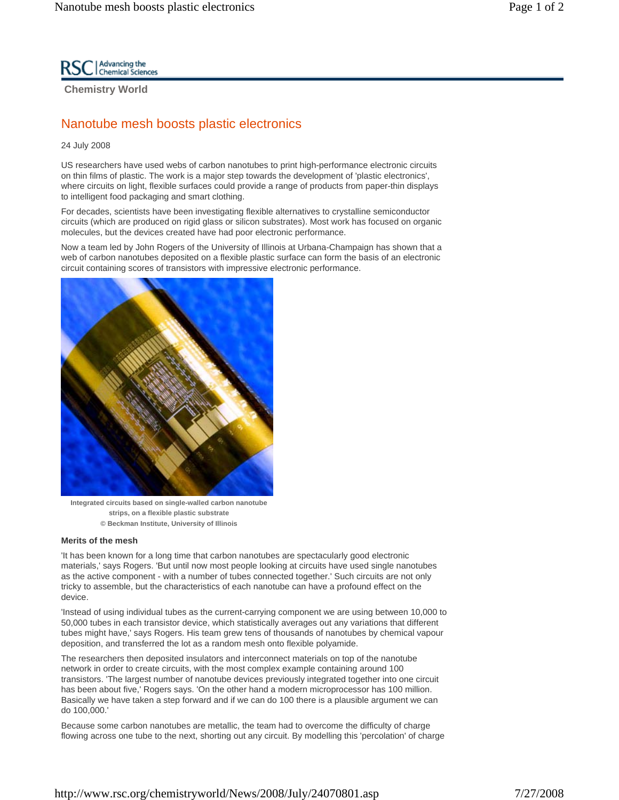

**Chemistry World** 

# Nanotube mesh boosts plastic electronics

### 24 July 2008

US researchers have used webs of carbon nanotubes to print high-performance electronic circuits on thin films of plastic. The work is a major step towards the development of 'plastic electronics', where circuits on light, flexible surfaces could provide a range of products from paper-thin displays to intelligent food packaging and smart clothing.

For decades, scientists have been investigating flexible alternatives to crystalline semiconductor circuits (which are produced on rigid glass or silicon substrates). Most work has focused on organic molecules, but the devices created have had poor electronic performance.

Now a team led by John Rogers of the University of Illinois at Urbana-Champaign has shown that a web of carbon nanotubes deposited on a flexible plastic surface can form the basis of an electronic circuit containing scores of transistors with impressive electronic performance.



**Integrated circuits based on single-walled carbon nanotube strips, on a flexible plastic substrate © Beckman Institute, University of Illinois** 

## **Merits of the mesh**

'It has been known for a long time that carbon nanotubes are spectacularly good electronic materials,' says Rogers. 'But until now most people looking at circuits have used single nanotubes as the active component - with a number of tubes connected together.' Such circuits are not only tricky to assemble, but the characteristics of each nanotube can have a profound effect on the device.

'Instead of using individual tubes as the current-carrying component we are using between 10,000 to 50,000 tubes in each transistor device, which statistically averages out any variations that different tubes might have,' says Rogers. His team grew tens of thousands of nanotubes by chemical vapour deposition, and transferred the lot as a random mesh onto flexible polyamide.

The researchers then deposited insulators and interconnect materials on top of the nanotube network in order to create circuits, with the most complex example containing around 100 transistors. 'The largest number of nanotube devices previously integrated together into one circuit has been about five,' Rogers says. 'On the other hand a modern microprocessor has 100 million. Basically we have taken a step forward and if we can do 100 there is a plausible argument we can do 100,000.'

Because some carbon nanotubes are metallic, the team had to overcome the difficulty of charge flowing across one tube to the next, shorting out any circuit. By modelling this 'percolation' of charge